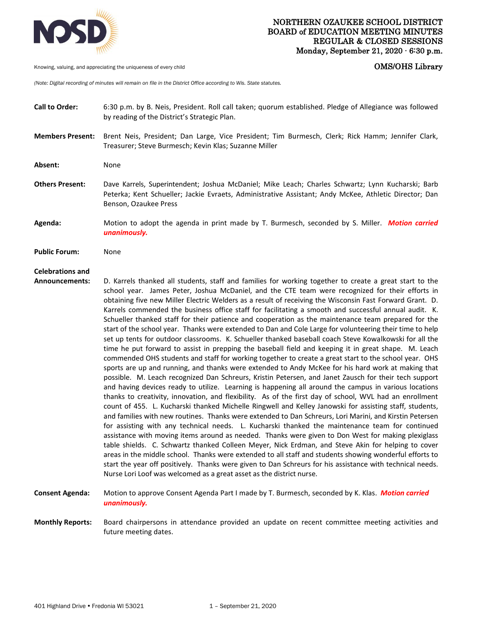

Knowing, valuing, and appreciating the uniqueness of every child **COMS COMS COMS COMS COMS COMS** 

*(Note: Digital recording of minutes will remain on file in the District Office according to Wis. State statutes.* 

- **Call to Order:** 6:30 p.m. by B. Neis, President. Roll call taken; quorum established. Pledge of Allegiance was followed by reading of the District's Strategic Plan.
- **Members Present:** Brent Neis, President; Dan Large, Vice President; Tim Burmesch, Clerk; Rick Hamm; Jennifer Clark, Treasurer; Steve Burmesch; Kevin Klas; Suzanne Miller
- Absent: None
- **Others Present:** Dave Karrels, Superintendent; Joshua McDaniel; Mike Leach; Charles Schwartz; Lynn Kucharski; Barb Peterka; Kent Schueller; Jackie Evraets, Administrative Assistant; Andy McKee, Athletic Director; Dan Benson, Ozaukee Press
- **Agenda:** Motion to adopt the agenda in print made by T. Burmesch, seconded by S. Miller. *Motion carried unanimously.*

**Public Forum:** None

## **Celebrations and**

- **Announcements:** D. Karrels thanked all students, staff and families for working together to create a great start to the school year. James Peter, Joshua McDaniel, and the CTE team were recognized for their efforts in obtaining five new Miller Electric Welders as a result of receiving the Wisconsin Fast Forward Grant. D. Karrels commended the business office staff for facilitating a smooth and successful annual audit. K. Schueller thanked staff for their patience and cooperation as the maintenance team prepared for the start of the school year. Thanks were extended to Dan and Cole Large for volunteering their time to help set up tents for outdoor classrooms. K. Schueller thanked baseball coach Steve Kowalkowski for all the time he put forward to assist in prepping the baseball field and keeping it in great shape. M. Leach commended OHS students and staff for working together to create a great start to the school year. OHS sports are up and running, and thanks were extended to Andy McKee for his hard work at making that possible. M. Leach recognized Dan Schreurs, Kristin Petersen, and Janet Zausch for their tech support and having devices ready to utilize. Learning is happening all around the campus in various locations thanks to creativity, innovation, and flexibility. As of the first day of school, WVL had an enrollment count of 455. L. Kucharski thanked Michelle Ringwell and Kelley Janowski for assisting staff, students, and families with new routines. Thanks were extended to Dan Schreurs, Lori Marini, and Kirstin Petersen for assisting with any technical needs. L. Kucharski thanked the maintenance team for continued assistance with moving items around as needed. Thanks were given to Don West for making plexiglass table shields. C. Schwartz thanked Colleen Meyer, Nick Erdman, and Steve Akin for helping to cover areas in the middle school. Thanks were extended to all staff and students showing wonderful efforts to start the year off positively. Thanks were given to Dan Schreurs for his assistance with technical needs. Nurse Lori Loof was welcomed as a great asset as the district nurse.
- **Consent Agenda:** Motion to approve Consent Agenda Part I made by T. Burmesch, seconded by K. Klas. *Motion carried unanimously.*
- **Monthly Reports:** Board chairpersons in attendance provided an update on recent committee meeting activities and future meeting dates.